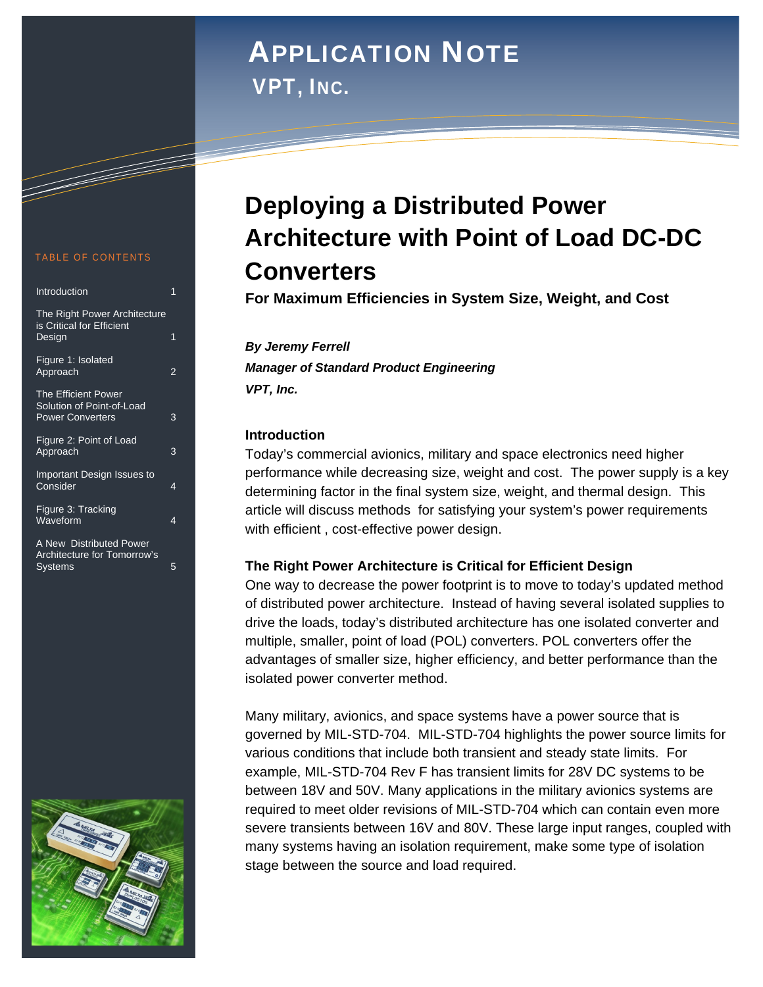# Application Note APPLICATION NOTE

*VPT, Inc.*  VPT, INC.

#### TABLE OF CONTENTS

a da kasar Tanzania da Kasar Tanzania da Kasar Tanzania da Kasar Tanzania da Kasar Tanzania da Kasar Tanzania<br>Kasar Indonesia

| Introduction                                                                       | 1 |
|------------------------------------------------------------------------------------|---|
| The Right Power Architecture<br>is Critical for Efficient<br>Design                | 1 |
| Figure 1: Isolated<br>Approach                                                     | 2 |
| <b>The Efficient Power</b><br>Solution of Point-of-Load<br><b>Power Converters</b> | 3 |
| Figure 2: Point of Load<br>Approach                                                | 3 |
| Important Design Issues to<br>Consider                                             | 4 |
| Figure 3: Tracking<br>Waveform                                                     | 4 |
| A New Distributed Power<br>Architecture for Tomorrow's<br><b>Systems</b>           | 5 |



## **Deploying a Distributed Power Architecture with Point of Load DC-DC Converters**

**For Maximum Efficiencies in System Size, Weight, and Cost**

*By Jeremy Ferrell Manager of Standard Product Engineering VPT, Inc.* 

#### **Introduction**

Today's commercial avionics, military and space electronics need higher performance while decreasing size, weight and cost. The power supply is a key determining factor in the final system size, weight, and thermal design. This article will discuss methods for satisfying your system's power requirements with efficient , cost-effective power design.

#### **The Right Power Architecture is Critical for Efficient Design**

One way to decrease the power footprint is to move to today's updated method of distributed power architecture. Instead of having several isolated supplies to drive the loads, today's distributed architecture has one isolated converter and multiple, smaller, point of load (POL) converters. POL converters offer the advantages of smaller size, higher efficiency, and better performance than the isolated power converter method.

Many military, avionics, and space systems have a power source that is governed by MIL-STD-704. MIL-STD-704 highlights the power source limits for various conditions that include both transient and steady state limits. For example, MIL-STD-704 Rev F has transient limits for 28V DC systems to be between 18V and 50V. Many applications in the military avionics systems are required to meet older revisions of MIL-STD-704 which can contain even more severe transients between 16V and 80V. These large input ranges, coupled with many systems having an isolation requirement, make some type of isolation stage between the source and load required.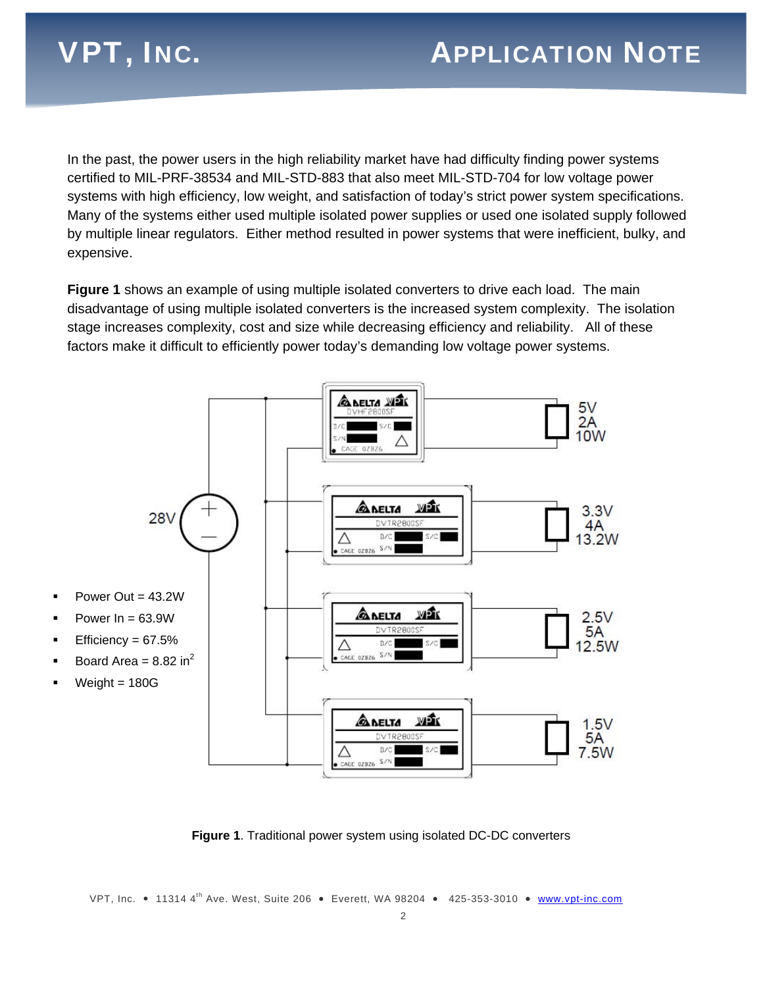In the past, the power users in the high reliability market have had difficulty finding power systems certified to MIL-PRF-38534 and MIL-STD-883 that also meet MIL-STD-704 for low voltage power systems with high efficiency, low weight, and satisfaction of today's strict power system specifications. Many of the systems either used multiple isolated power supplies or used one isolated supply followed by multiple linear regulators. Either method resulted in power systems that were inefficient, bulky, and expensive.

**Figure 1** shows an example of using multiple isolated converters to drive each load. The main disadvantage of using multiple isolated converters is the increased system complexity. The isolation stage increases complexity, cost and size while decreasing efficiency and reliability. All of these factors make it difficult to efficiently power today's demanding low voltage power systems.



**Figure 1**. Traditional power system using isolated DC-DC converters

VPT, Inc. • 11314 4<sup>th</sup> Ave. West, Suite 206 • Everett, WA 98204 • 425-353-3010 • **www.vpt-inc.com**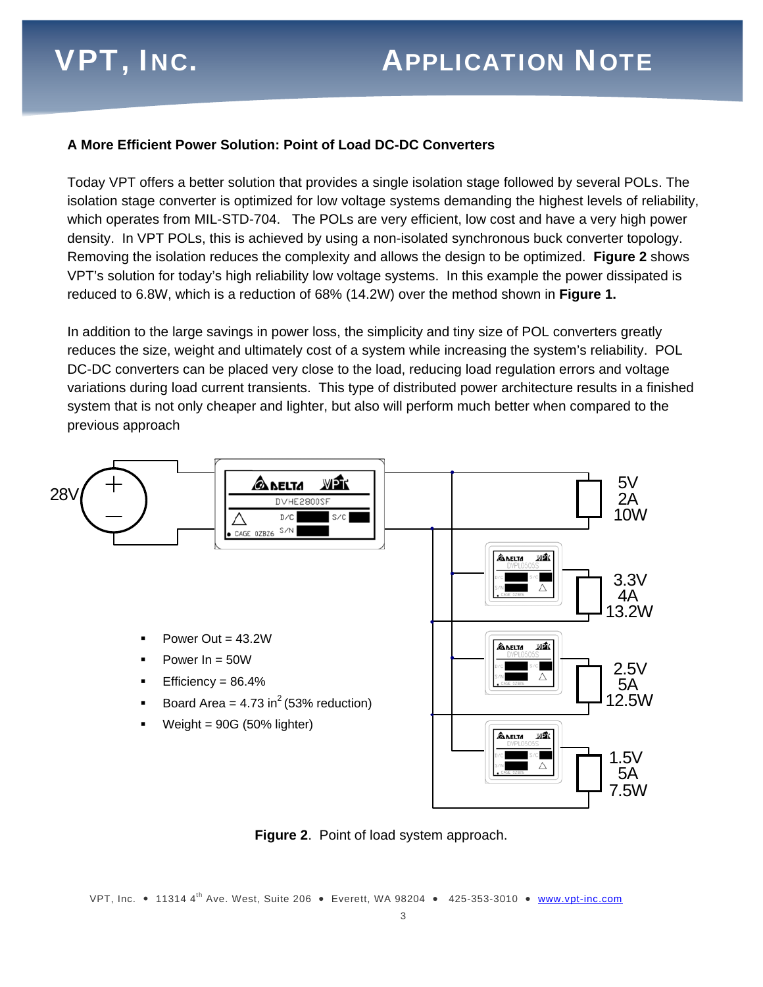#### **A More Efficient Power Solution: Point of Load DC-DC Converters**

Today VPT offers a better solution that provides a single isolation stage followed by several POLs. The isolation stage converter is optimized for low voltage systems demanding the highest levels of reliability, which operates from MIL-STD-704. The POLs are very efficient, low cost and have a very high power density. In VPT POLs, this is achieved by using a non-isolated synchronous buck converter topology. Removing the isolation reduces the complexity and allows the design to be optimized. **Figure 2** shows VPT's solution for today's high reliability low voltage systems. In this example the power dissipated is reduced to 6.8W, which is a reduction of 68% (14.2W) over the method shown in **Figure 1.**

In addition to the large savings in power loss, the simplicity and tiny size of POL converters greatly reduces the size, weight and ultimately cost of a system while increasing the system's reliability. POL DC-DC converters can be placed very close to the load, reducing load regulation errors and voltage variations during load current transients. This type of distributed power architecture results in a finished system that is not only cheaper and lighter, but also will perform much better when compared to the previous approach



**Figure 2**. Point of load system approach.

VPT, Inc. • 11314 4<sup>th</sup> Ave. West, Suite 206 • Everett, WA 98204 • 425-353-3010 • **www.vpt-inc.com**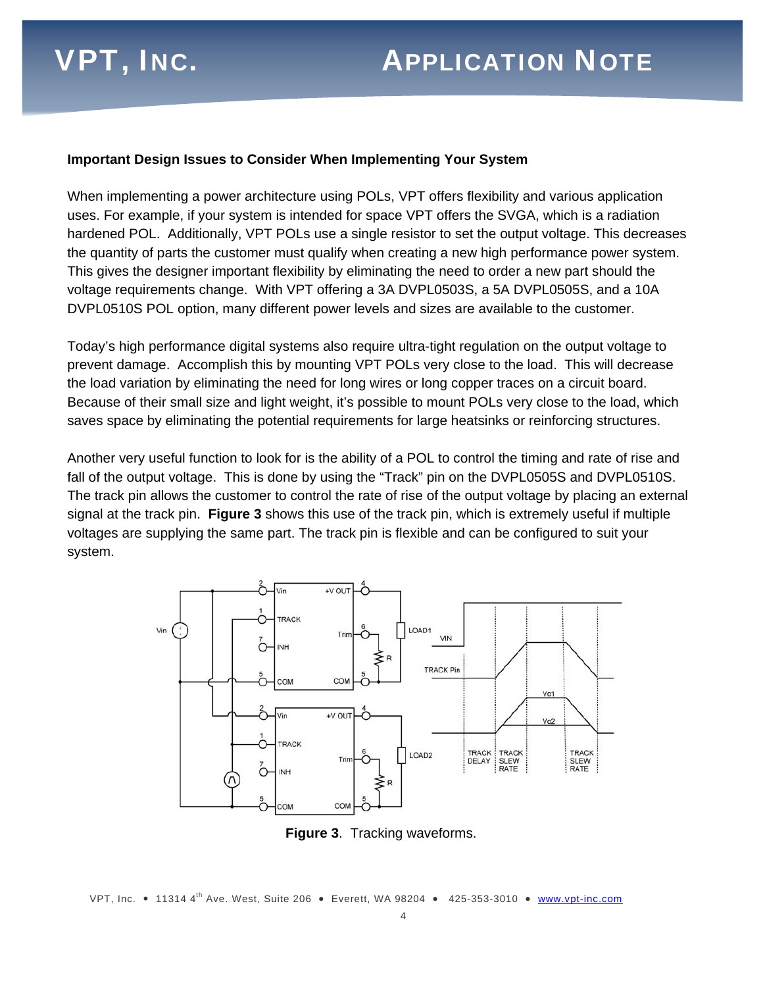#### **Important Design Issues to Consider When Implementing Your System**

When implementing a power architecture using POLs, VPT offers flexibility and various application uses. For example, if your system is intended for space VPT offers the SVGA, which is a radiation hardened POL. Additionally, VPT POLs use a single resistor to set the output voltage. This decreases the quantity of parts the customer must qualify when creating a new high performance power system. This gives the designer important flexibility by eliminating the need to order a new part should the voltage requirements change. With VPT offering a 3A DVPL0503S, a 5A DVPL0505S, and a 10A DVPL0510S POL option, many different power levels and sizes are available to the customer.

Today's high performance digital systems also require ultra-tight regulation on the output voltage to prevent damage. Accomplish this by mounting VPT POLs very close to the load. This will decrease the load variation by eliminating the need for long wires or long copper traces on a circuit board. Because of their small size and light weight, it's possible to mount POLs very close to the load, which saves space by eliminating the potential requirements for large heatsinks or reinforcing structures.

Another very useful function to look for is the ability of a POL to control the timing and rate of rise and fall of the output voltage. This is done by using the "Track" pin on the DVPL0505S and DVPL0510S. The track pin allows the customer to control the rate of rise of the output voltage by placing an external signal at the track pin. **Figure 3** shows this use of the track pin, which is extremely useful if multiple voltages are supplying the same part. The track pin is flexible and can be configured to suit your system.



**Figure 3**. Tracking waveforms.

VPT, Inc. • 11314 4<sup>th</sup> Ave. West, Suite 206 • Everett, WA 98204 • 425-353-3010 • **www.vpt-inc.com**